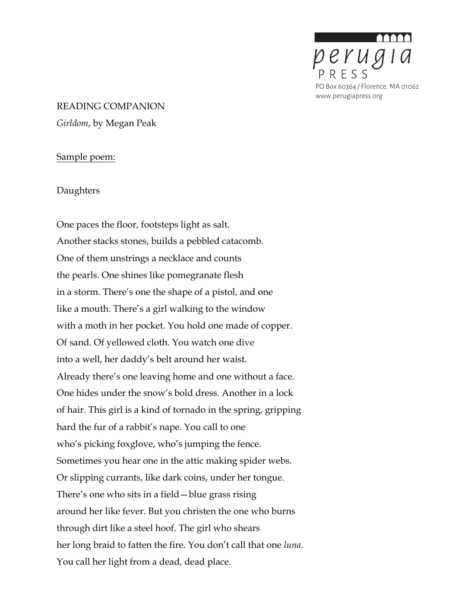

# READING COMPANION *Girldom*, by Megan Peak

#### Sample poem:

Daughters

One paces the floor, footsteps light as salt. Another stacks stones, builds a pebbled catacomb. One of them unstrings a necklace and counts the pearls. One shines like pomegranate flesh in a storm. There's one the shape of a pistol, and one like a mouth. There's a girl walking to the window with a moth in her pocket. You hold one made of copper. Of sand. Of yellowed cloth. You watch one dive into a well, her daddy's belt around her waist. Already there's one leaving home and one without a face. One hides under the snow's bold dress. Another in a lock of hair. This girl is a kind of tornado in the spring, gripping hard the fur of a rabbit's nape. You call to one who's picking foxglove, who's jumping the fence. Sometimes you hear one in the attic making spider webs. Or slipping currants, like dark coins, under her tongue. There's one who sits in a field—blue grass rising around her like fever. But you christen the one who burns through dirt like a steel hoof. The girl who shears her long braid to fatten the fire. You don't call that one *luna*. You call her light from a dead, dead place.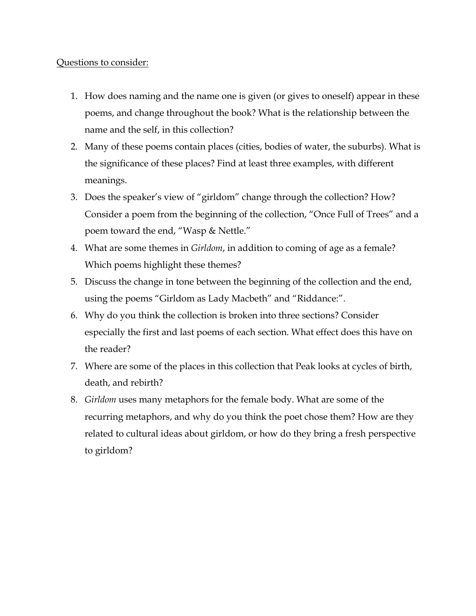## Questions to consider:

- 1. How does naming and the name one is given (or gives to oneself) appear in these poems, and change throughout the book? What is the relationship between the name and the self, in this collection?
- 2. Many of these poems contain places (cities, bodies of water, the suburbs). What is the significance of these places? Find at least three examples, with different meanings.
- 3. Does the speaker's view of "girldom" change through the collection? How? Consider a poem from the beginning of the collection, "Once Full of Trees" and a poem toward the end, "Wasp & Nettle."
- 4. What are some themes in *Girldom*, in addition to coming of age as a female? Which poems highlight these themes?
- 5. Discuss the change in tone between the beginning of the collection and the end, using the poems "Girldom as Lady Macbeth" and "Riddance:".
- 6. Why do you think the collection is broken into three sections? Consider especially the first and last poems of each section. What effect does this have on the reader?
- 7. Where are some of the places in this collection that Peak looks at cycles of birth, death, and rebirth?
- 8. *Girldom* uses many metaphors for the female body. What are some of the recurring metaphors, and why do you think the poet chose them? How are they related to cultural ideas about girldom, or how do they bring a fresh perspective to girldom?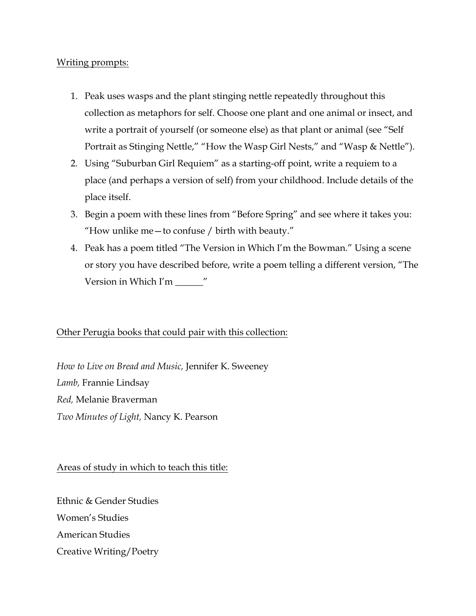#### Writing prompts:

- 1. Peak uses wasps and the plant stinging nettle repeatedly throughout this collection as metaphors for self. Choose one plant and one animal or insect, and write a portrait of yourself (or someone else) as that plant or animal (see "Self Portrait as Stinging Nettle," "How the Wasp Girl Nests," and "Wasp & Nettle").
- 2. Using "Suburban Girl Requiem" as a starting-off point, write a requiem to a place (and perhaps a version of self) from your childhood. Include details of the place itself.
- 3. Begin a poem with these lines from "Before Spring" and see where it takes you: "How unlike me—to confuse / birth with beauty."
- 4. Peak has a poem titled "The Version in Which I'm the Bowman." Using a scene or story you have described before, write a poem telling a different version, "The Version in Which I'm \_\_\_\_\_\_"

### Other Perugia books that could pair with this collection:

*How to Live on Bread and Music,* Jennifer K. Sweeney *Lamb,* Frannie Lindsay *Red,* Melanie Braverman *Two Minutes of Light,* Nancy K. Pearson

Areas of study in which to teach this title:

Ethnic & Gender Studies Women's Studies American Studies Creative Writing/Poetry